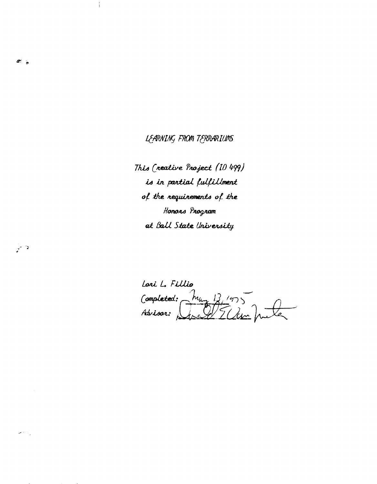LEARNING FROM TERRARIUMS

 $\sigma_{\rm e}$ 

و<br>مارسي

 $\omega \in \mathbb{R}^n$ 

This (reative Project (10 499) is in partial fulfillment of the requirements of the Honons Program at Ball State University

Lori L. Fillio Completed:  $\frac{h_{u}}{\sqrt{\frac{13}{5}} \cdot h_{v}}$ Advisor: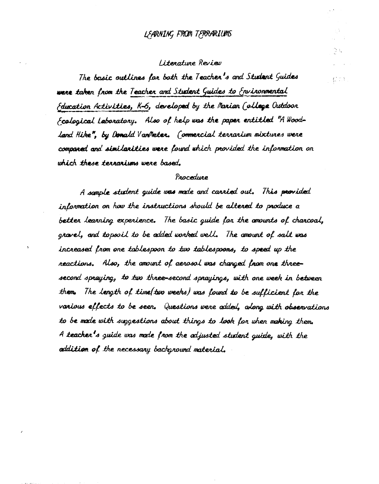### LEARNING FROM TERRARIUMS

#### Literature Review

The basic outlines for both the Teacher's and Student Guides were taken from the Teacher and Student Guides to Environmental Folucation Activities, K-6, developed by the Marian (ollege Outdoon Ecological Laboratory. Also of help was the paper entitled "A Woodland Hike", by Donald VanMeter. (ommercial terrarium mixtures were companed and similarities were found which provided the information on which these terrariums were based.

#### Procedure

A sample student guide was made and carried out. This provided information on how the instructions should be altered to produce a better learning experience. The basic guide for the amounts of charcoal, gravel, and topsoil to be added worked well. The amount of salt was increased from one tablespoon to two tablespoons, to speed up the reactions. Also, the amount of aerosol was changed from one threesecond spraying, to two three-second sprayings, with one week in between them. The length of time (two weeks) was found to be sufficient for the various effects to be seen. Questions were added, along with observations to be made with suggestions about things to look for when making them. A teacher's guide was made from the adjusted student guide, with the addition of the necessary background material.

**C** DA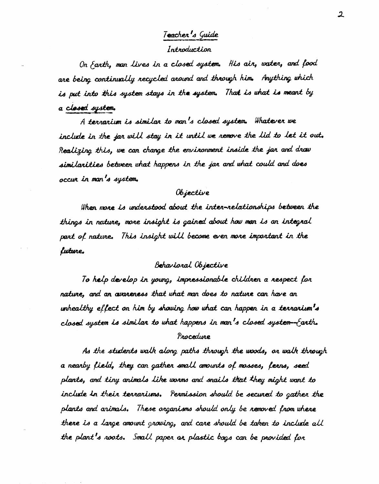# Teacher's Guide

#### Introduction

On *farth*, man lives in a closed system. His air, water, and food are being continually recycled around and through him. Anything which is put into this system stays in the system. That is what is meant by a closed system.

A terrarium is similar to man's closed system. Whatever we include in the jar will stay in it until we remove the lid to let it out. Realizing this, we can change the environment inside the jar and draw similarities between what happens in the jar and what could and does occur in man's system.

#### Objective

When more is understood about the inter-relationships between the things in nature, more insight is gained about how man is an integral part of nature. This insight will become even more important in the luture.

#### Beharioral Objective

To help develop in young, impressionable children a respect for nature, and an avareness that what man does to nature can have an whealthy effect on him by showing how what can happen in a terrarium s closed system is similar to what happens in man's closed system-farth. Procedure

As the students walk along paths through the woods, on walk through a nearby field, they can gather small amounts of mosses, ferns, seed plants, and tiny animals like worms and snails that they might want to include in their terrariums. Permission should be secured to gather the plants and arimals. These organisms should only be removed from where there is a large amount growing, and care should be taken to include all the plant's noots. Small paper ar plastic bags can be provided for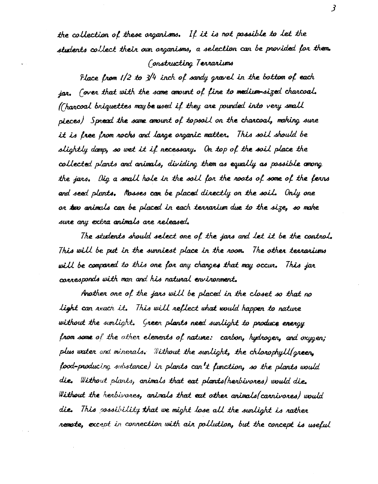the collection of these organisms. If it is not possible to let the students collect their own organisms, a selection can be provided for them. Constructing Terrariums

Place from  $1/2$  to  $3/4$  inch of sandy gravel in the bottom of each ian. (over that with the same amount of fine to medium-sized charcoal. ((harcoal briquettes may be used if they are pounded into very small pieces) Spread the same amount of topsoil on the charcoal, making sure it is free from rocks and large organic matter. This soil should be slightly domp, so wet it if necessary. On top of the soil place the collected plants and animals, dividing them as equally as possible among the jars. Dig a small hole in the soil for the roots of some of the ferns and seed plants. Mosses can be placed directly on the soil. Only one or two animals can be placed in each terrarium due to the size, so make sure any extra animals are released.

The students should select one of the jans and let it be the control. This will be put in the sunniest place in the room. The other tearariums will be compared to this one for any changes that may occur. This jar corresponds with man and his natural environment.

Another one of the jars will be placed in the closet so that no light can reach it. This will reflect what would happen to nature without the sunlight. Green plants need sunlight to produce energy from some of the other elements of nature: carbon, hydrogen, and oxygen; plus water and minerals. Without the sunlight, the chlorophyll (green, food-producing substance) in plants can't function, so the plants would die. Without plants, animals that eat plants (herbivores) would die. Without the herbivores, animals that eat other animals (carnivores) would die. This cossibility that we might lose all the sunlight is nather remote, except in connection with air pollution, but the concept is useful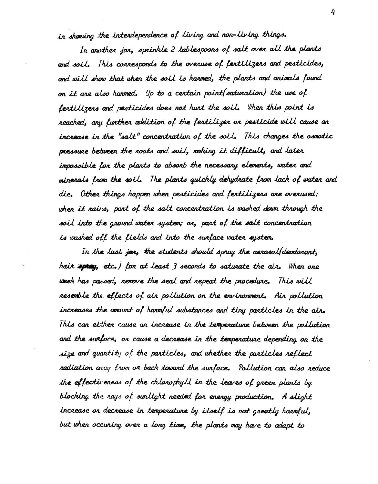in showing the interdependence of living and non-living things.

In another jar, sprinkle 2 tablespoons of salt over all the plants and soil. This connesponds to the overuse of fertilizers and pesticides, and will show that when the soil is harmed, the plants and animals found on it are also harmed. Up to a certain point (saturation) the use of fertilizers and pesticides does not hunt the soil. When this point is reached, any further addition of the fertilizer or pesticide will cause an increase in the "salt" concentration of the soil. This changes the osmotic pressure between the roots and soil, making it difficult, and later impossible for the plants to absorb the necessary elements, water and minerals from the soil. The plants quickly dehydrate from lack of water and die. Other things happen when pesticides and fertilizers are overwsed: when it rains, part of the salt concentration is washed down through the soil into the ground water system; or, part of the salt concentration is washed off the fields and into the surface water system.

In the last joy, the students should spray the aerosol(deodorant, hair spray, etc.) for at least 3 seconds to saturate the air. When one week has passed, nemove the seal and nepeat the procedure. This will resemble the effects of air pollution on the environment. Air pollution increases the amount of harmful substances and tiny particles in the air. This can either cause an increase in the temperature between the pollution and the surface, on cause a decrease in the temperature depending on the size and quantity of the particles, and whether the particles reflect nadiation avay from on back toward the surface. Pollution can also reduce the effectiveness of the chlorophyll in the leaves of green plants by blocking the nays of sunlight needed for energy production. A slight increase or decrease in temperature by itself is not greatly harmful, but when occuring over a long time, the plants may have to adapt to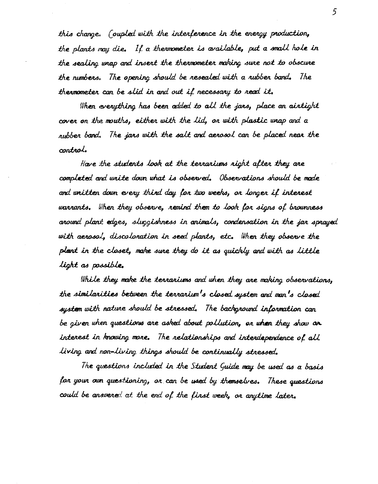this change. (oupled with the interference in the energy production, the plants may die. If a thermometer is available, put a small hole in the sealing wrap and insert the thermometer making sure not to obscure the numbers. The opening should be resealed with a rubber band. The thermometer can be slid in and out if necessary to read it.

When everything has been added to all the jans, place an aintight cover on the mouths, either with the lid, or with plastic wrap and a rubber band. The jars with the salt and aerosol can be placed near the control.

Have the students look at the terrariums right after they are completed and write down what is observed. Observations should be made and unitten down every third day for two weeks, or longer if interest warrants. When they observe, remind them to look for signs of brownness around plant edges, sluggishness in animals, condensation in the jar sprayed with aerosol, discoloration in seed plants, etc. When they observe the plant in the closet, make sure they do it as quickly and with as little light as possible.

While they make the terrariums and when they are making observations, the similarities between the terrarium's closed system and man's closed system with nature should be stressed. The background information can be given when questions are asked about pollution, or when they show are interest in knowing more. The relationships and interdependence of all living and non-living things should be continually stressed.

The questions included in the Student Guide may be used as a basis for your oun questioning, or can be used by themselves. These questions could be answered at the end of the finst week, or anytime later.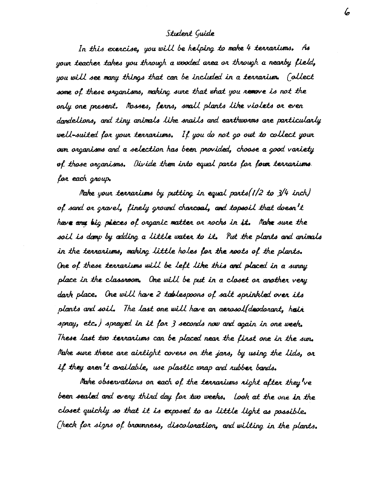#### Student Guide

In this exercise, you will be helping to make 4 terrariums. As your teacher takes you through a wooded area or through a nearby field, you will see many things that can be included in a terrarium. (ollect some of these organisms, making sure that what you remove is not the only one present. Mosses, ferns, small plants like violets or even dandelions, and tiny animals like snails and earthworms are particularly well-suited for your terrariums. If you do not go out to collect your oun organisms and a selection has been provided, choose a good variety of those organisms. Divide them into equal parts for four terrariums. for each group.

Make your terrariums by putting in equal parts  $(1/2$  to  $3/4$  inch) of sand or gravel, finely ground charcoal, and topsoil that doesn't have any big pieces of organic matter or rocks in it. Make sure the soil is damp by adding a little water to it. Put the plants and animals in the terraniums, making little holes for the roots of the plants. One of these terrariums will be left like this and placed in a sunny place in the classroom. One will be put in a closet on another very dark place. One will have 2 tablespoons of salt sprinkled over its plants and soil. The last one will have an aerosol(depdorant, hair spray, etc.) sprayed in it for 3 seconds now and again in one week. These last two terrariums can be placed near the first one in the sun. Make sure there are airtight covers on the jars, by using the lids, or if they aren't available, use plastic unap and rubber bands.

Make observations on each of the terrariums right after they've been sealed and every third day for two weeks. Look at the one in the closet quickly so that it is exposed to as little light as possible. (heck for signs of brownness, discoloration, and wilting in the plants.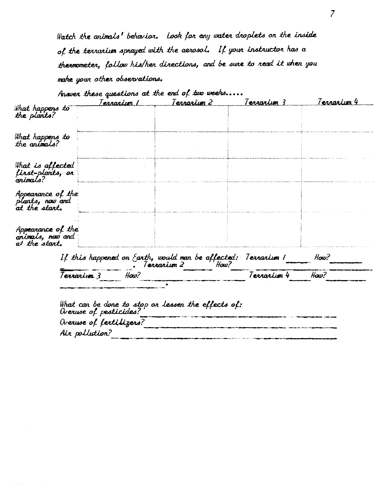Watch the animals' behavior. Look for any water droplets on the inside of the terrorium sprayed with the aerosol. If your instructor has a thermometer, follow his/her directions, and be sure to read it when you make your other observations.

|                                                        | <u> Terrarium I</u> | Anower these questions at the end of two weeks<br><u>Terrarium 2</u>                 | Terrarium 3 | <u>Terrarium 4</u> |
|--------------------------------------------------------|---------------------|--------------------------------------------------------------------------------------|-------------|--------------------|
| What happens to<br>the plants?                         |                     |                                                                                      |             |                    |
| Wh <b>at</b> happens to<br>the animals?                |                     |                                                                                      |             |                    |
| What is affected<br>first-plants, or<br>animals?       |                     |                                                                                      |             |                    |
| Appearance of the<br>plants, now and<br>at the start.  |                     |                                                                                      |             |                    |
| Appearance of the<br>animals, now and<br>at the start. |                     |                                                                                      |             |                    |
|                                                        |                     | If this happened on Earth, would man be affected: Terrarium I<br>Terrarium 2<br>How? |             | How?               |
| Terrariva 3                                            | How?                |                                                                                      | Terrarium 4 | How?               |

| What can be done to stop or lessen the effects of:<br>Overuse of pesticides? |
|------------------------------------------------------------------------------|
| Overvse of fertifizers?                                                      |
| Air pollution?                                                               |
|                                                                              |

 $\sqrt{\bullet}$